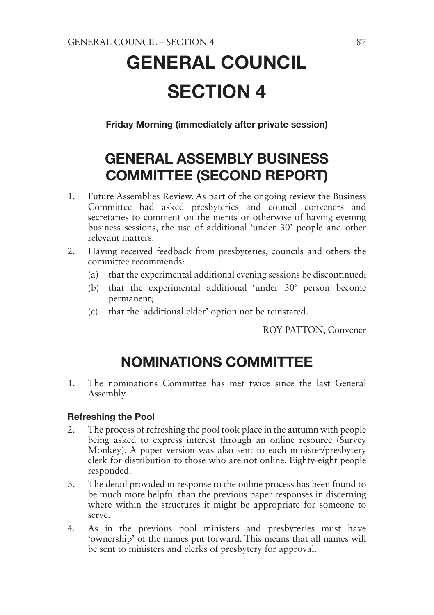# GENERAL COUNCIL SECTION 4

Friday Morning (immediately after private session)

# GENERAL ASSEMBLY BUSINESS COMMITTEE (SECOND REPORT)

- 1. Future Assemblies Review. As part of the ongoing review the Business Committee had asked presbyteries and council conveners and secretaries to comment on the merits or otherwise of having evening business sessions, the use of additional 'under 30' people and other relevant matters.
- 2. Having received feedback from presbyteries, councils and others the committee recommends:
	- (a) that the experimental additional evening sessions be discontinued;
	- (b) that the experimental additional 'under 30' person become permanent;
	- (c) that the 'additional elder' option not be reinstated.

ROY PATTON, Convener

# NOMINATIONS COMMITTEE

1. The nominations Committee has met twice since the last General Assembly.

#### Refreshing the Pool

- 2. The process of refreshing the pool took place in the autumn with people being asked to express interest through an online resource (Survey Monkey). A paper version was also sent to each minister/presbytery clerk for distribution to those who are not online. Eighty-eight people responded.
- 3. The detail provided in response to the online process has been found to be much more helpful than the previous paper responses in discerning where within the structures it might be appropriate for someone to serve.
- 4. As in the previous pool ministers and presbyteries must have 'ownership' of the names put forward. This means that all names will be sent to ministers and clerks of presbytery for approval.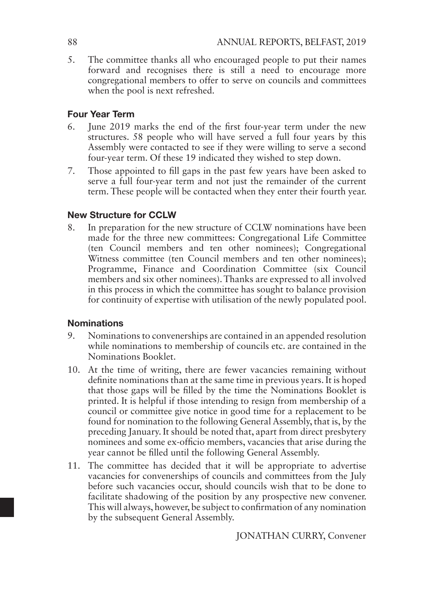5. The committee thanks all who encouraged people to put their names forward and recognises there is still a need to encourage more congregational members to offer to serve on councils and committees when the pool is next refreshed.

#### Four Year Term

- 6. June 2019 marks the end of the first four-year term under the new structures. 58 people who will have served a full four years by this Assembly were contacted to see if they were willing to serve a second four-year term. Of these 19 indicated they wished to step down.
- 7. Those appointed to fill gaps in the past few years have been asked to serve a full four-year term and not just the remainder of the current term. These people will be contacted when they enter their fourth year.

#### New Structure for CCLW

8. In preparation for the new structure of CCLW nominations have been made for the three new committees: Congregational Life Committee (ten Council members and ten other nominees); Congregational Witness committee (ten Council members and ten other nominees); Programme, Finance and Coordination Committee (six Council members and six other nominees). Thanks are expressed to all involved in this process in which the committee has sought to balance provision for continuity of expertise with utilisation of the newly populated pool.

#### Nominations

- 9. Nominations to convenerships are contained in an appended resolution while nominations to membership of councils etc. are contained in the Nominations Booklet.
- 10. At the time of writing, there are fewer vacancies remaining without definite nominations than at the same time in previous years. It is hoped that those gaps will be filled by the time the Nominations Booklet is printed. It is helpful if those intending to resign from membership of a council or committee give notice in good time for a replacement to be found for nomination to the following General Assembly, that is, by the preceding January. It should be noted that, apart from direct presbytery nominees and some ex-officio members, vacancies that arise during the year cannot be filled until the following General Assembly.
- 11. The committee has decided that it will be appropriate to advertise vacancies for convenerships of councils and committees from the July before such vacancies occur, should councils wish that to be done to facilitate shadowing of the position by any prospective new convener. This will always, however, be subject to confirmation of any nomination by the subsequent General Assembly.

JONATHAN CURRY, Convener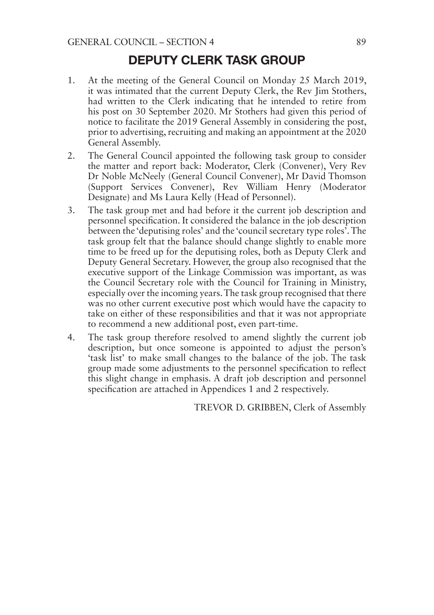# DEPUTY CLERK TASK GROUP

- 1. At the meeting of the General Council on Monday 25 March 2019, it was intimated that the current Deputy Clerk, the Rev Jim Stothers, had written to the Clerk indicating that he intended to retire from his post on 30 September 2020. Mr Stothers had given this period of notice to facilitate the 2019 General Assembly in considering the post, prior to advertising, recruiting and making an appointment at the 2020 General Assembly.
- 2. The General Council appointed the following task group to consider the matter and report back: Moderator, Clerk (Convener), Very Rev Dr Noble McNeely (General Council Convener), Mr David Thomson (Support Services Convener), Rev William Henry (Moderator Designate) and Ms Laura Kelly (Head of Personnel).
- 3. The task group met and had before it the current job description and personnel specification. It considered the balance in the job description between the 'deputising roles' and the 'council secretary type roles'. The task group felt that the balance should change slightly to enable more time to be freed up for the deputising roles, both as Deputy Clerk and Deputy General Secretary. However, the group also recognised that the executive support of the Linkage Commission was important, as was the Council Secretary role with the Council for Training in Ministry, especially over the incoming years. The task group recognised that there was no other current executive post which would have the capacity to take on either of these responsibilities and that it was not appropriate to recommend a new additional post, even part-time.
- 4. The task group therefore resolved to amend slightly the current job description, but once someone is appointed to adjust the person's 'task list' to make small changes to the balance of the job. The task group made some adjustments to the personnel specification to reflect this slight change in emphasis. A draft job description and personnel specification are attached in Appendices 1 and 2 respectively.

TREVOR D. GRIBBEN, Clerk of Assembly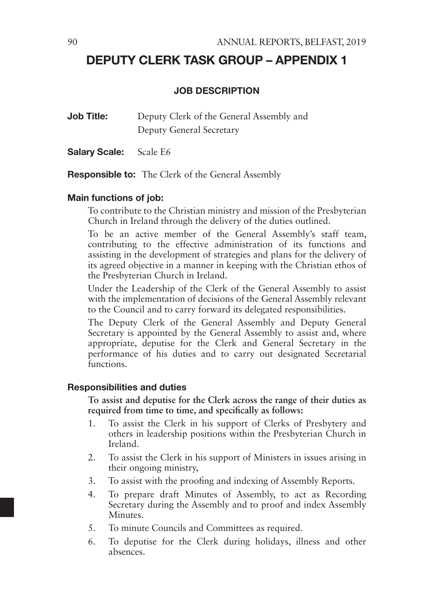# DEPUTY CLERK TASK GROUP – APPENDIX 1

#### JOB DESCRIPTION

**Job Title:** Deputy Clerk of the General Assembly and Deputy General Secretary

Salary Scale: Scale E6

Responsible to: The Clerk of the General Assembly

#### Main functions of job:

To contribute to the Christian ministry and mission of the Presbyterian Church in Ireland through the delivery of the duties outlined.

To be an active member of the General Assembly's staff team, contributing to the effective administration of its functions and assisting in the development of strategies and plans for the delivery of its agreed objective in a manner in keeping with the Christian ethos of the Presbyterian Church in Ireland.

Under the Leadership of the Clerk of the General Assembly to assist with the implementation of decisions of the General Assembly relevant to the Council and to carry forward its delegated responsibilities.

The Deputy Clerk of the General Assembly and Deputy General Secretary is appointed by the General Assembly to assist and, where appropriate, deputise for the Clerk and General Secretary in the performance of his duties and to carry out designated Secretarial functions.

#### Responsibilities and duties

**To assist and deputise for the Clerk across the range of their duties as required from time to time, and specifically as follows:**

- 1. To assist the Clerk in his support of Clerks of Presbytery and others in leadership positions within the Presbyterian Church in Ireland.
- 2. To assist the Clerk in his support of Ministers in issues arising in their ongoing ministry,
- 3. To assist with the proofing and indexing of Assembly Reports.
- 4. To prepare draft Minutes of Assembly, to act as Recording Secretary during the Assembly and to proof and index Assembly **Minutes**
- 5. To minute Councils and Committees as required.
- 6. To deputise for the Clerk during holidays, illness and other absences.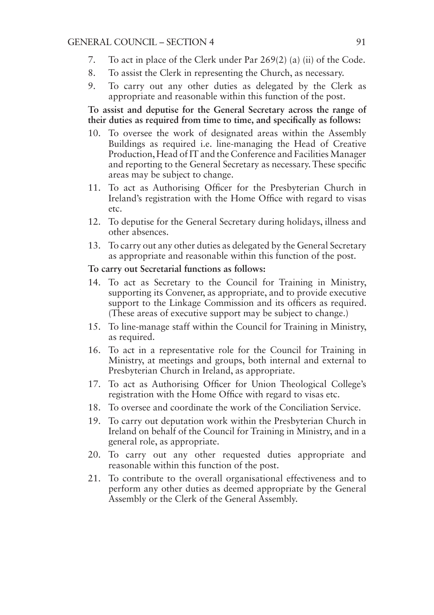- 7. To act in place of the Clerk under Par 269(2) (a) (ii) of the Code.
- 8. To assist the Clerk in representing the Church, as necessary.
- 9. To carry out any other duties as delegated by the Clerk as appropriate and reasonable within this function of the post.

#### **To assist and deputise for the General Secretary across the range of their duties as required from time to time, and specifically as follows:**

- 10. To oversee the work of designated areas within the Assembly Buildings as required i.e. line-managing the Head of Creative Production, Head of IT and the Conference and Facilities Manager and reporting to the General Secretary as necessary. These specific areas may be subject to change.
- 11. To act as Authorising Officer for the Presbyterian Church in Ireland's registration with the Home Office with regard to visas etc.
- 12. To deputise for the General Secretary during holidays, illness and other absences.
- 13. To carry out any other duties as delegated by the General Secretary as appropriate and reasonable within this function of the post.

#### **To carry out Secretarial functions as follows:**

- 14. To act as Secretary to the Council for Training in Ministry, supporting its Convener, as appropriate, and to provide executive support to the Linkage Commission and its officers as required. (These areas of executive support may be subject to change.)
- 15. To line-manage staff within the Council for Training in Ministry, as required.
- 16. To act in a representative role for the Council for Training in Ministry, at meetings and groups, both internal and external to Presbyterian Church in Ireland, as appropriate.
- 17. To act as Authorising Officer for Union Theological College's registration with the Home Office with regard to visas etc.
- 18. To oversee and coordinate the work of the Conciliation Service.
- 19. To carry out deputation work within the Presbyterian Church in Ireland on behalf of the Council for Training in Ministry, and in a general role, as appropriate.
- 20. To carry out any other requested duties appropriate and reasonable within this function of the post.
- 21. To contribute to the overall organisational effectiveness and to perform any other duties as deemed appropriate by the General Assembly or the Clerk of the General Assembly.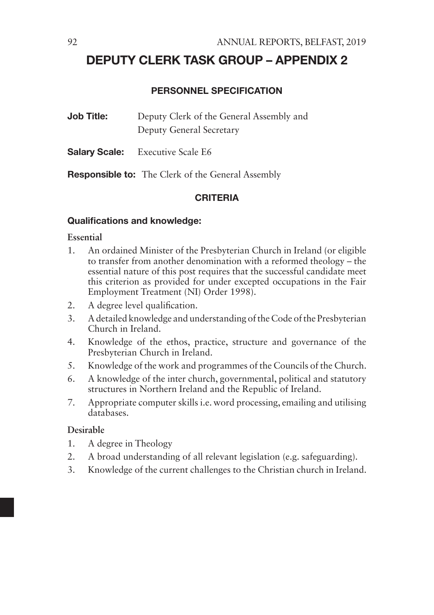# DEPUTY CLERK TASK GROUP – APPENDIX 2

#### PERSONNEL SPECIFICATION

| <b>Job Title:</b> | Deputy Clerk of the General Assembly and |
|-------------------|------------------------------------------|
|                   | Deputy General Secretary                 |

Salary Scale: Executive Scale E6

Responsible to: The Clerk of the General Assembly

#### CRITERIA

#### Qualifications and knowledge:

#### **Essential**

- 1. An ordained Minister of the Presbyterian Church in Ireland (or eligible to transfer from another denomination with a reformed theology – the essential nature of this post requires that the successful candidate meet this criterion as provided for under excepted occupations in the Fair Employment Treatment (NI) Order 1998).
- 2. A degree level qualification.
- 3. A detailed knowledge and understanding of the Code of the Presbyterian Church in Ireland.
- 4. Knowledge of the ethos, practice, structure and governance of the Presbyterian Church in Ireland.
- 5. Knowledge of the work and programmes of the Councils of the Church.
- 6. A knowledge of the inter church, governmental, political and statutory structures in Northern Ireland and the Republic of Ireland.
- 7. Appropriate computer skills i.e. word processing, emailing and utilising databases.

#### **Desirable**

- 1. A degree in Theology
- 2. A broad understanding of all relevant legislation (e.g. safeguarding).
- 3. Knowledge of the current challenges to the Christian church in Ireland.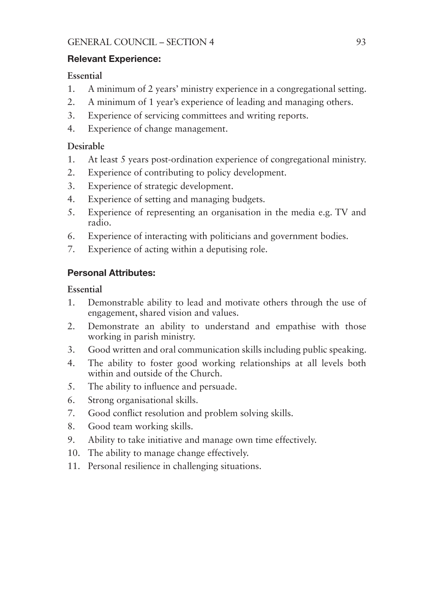#### Relevant Experience:

#### **Essential**

- 1. A minimum of 2 years' ministry experience in a congregational setting.
- 2. A minimum of 1 year's experience of leading and managing others.
- 3. Experience of servicing committees and writing reports.
- 4. Experience of change management.

#### **Desirable**

- 1. At least 5 years post-ordination experience of congregational ministry.
- 2. Experience of contributing to policy development.
- 3. Experience of strategic development.
- 4. Experience of setting and managing budgets.
- 5. Experience of representing an organisation in the media e.g. TV and radio.
- 6. Experience of interacting with politicians and government bodies.
- 7. Experience of acting within a deputising role.

## Personal Attributes:

#### **Essential**

- 1. Demonstrable ability to lead and motivate others through the use of engagement, shared vision and values.
- 2. Demonstrate an ability to understand and empathise with those working in parish ministry.
- 3. Good written and oral communication skills including public speaking.
- 4. The ability to foster good working relationships at all levels both within and outside of the Church.
- 5. The ability to influence and persuade.
- 6. Strong organisational skills.
- 7. Good conflict resolution and problem solving skills.
- 8. Good team working skills.
- 9. Ability to take initiative and manage own time effectively.
- 10. The ability to manage change effectively.
- 11. Personal resilience in challenging situations.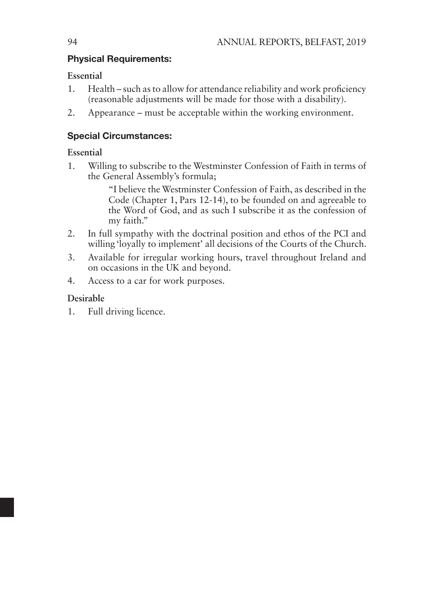#### Physical Requirements:

#### **Essential**

- 1. Health such as to allow for attendance reliability and work proficiency (reasonable adjustments will be made for those with a disability).
- 2. Appearance must be acceptable within the working environment.

#### Special Circumstances:

#### **Essential**

1. Willing to subscribe to the Westminster Confession of Faith in terms of the General Assembly's formula;

> "I believe the Westminster Confession of Faith, as described in the Code (Chapter 1, Pars 12-14), to be founded on and agreeable to the Word of God, and as such I subscribe it as the confession of my faith."

- 2. In full sympathy with the doctrinal position and ethos of the PCI and willing 'loyally to implement' all decisions of the Courts of the Church.
- 3. Available for irregular working hours, travel throughout Ireland and on occasions in the UK and beyond.
- 4. Access to a car for work purposes.

## **Desirable**

1. Full driving licence.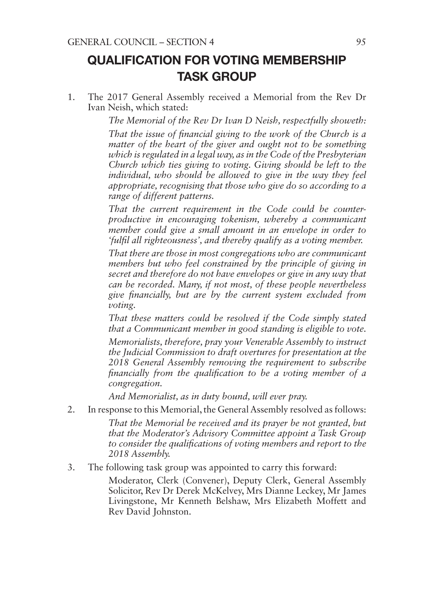# QUALIFICATION FOR VOTING MEMBERSHIP TASK GROUP

1. The 2017 General Assembly received a Memorial from the Rev Dr Ivan Neish, which stated:

*The Memorial of the Rev Dr Ivan D Neish, respectfully showeth:*

*That the issue of financial giving to the work of the Church is a matter of the heart of the giver and ought not to be something which is regulated in a legal way, as in the Code of the Presbyterian Church which ties giving to voting. Giving should be left to the individual, who should be allowed to give in the way they feel appropriate, recognising that those who give do so according to a range of different patterns.*

*That the current requirement in the Code could be counterproductive in encouraging tokenism, whereby a communicant member could give a small amount in an envelope in order to 'fulfil all righteousness', and thereby qualify as a voting member.*

*That there are those in most congregations who are communicant members but who feel constrained by the principle of giving in secret and therefore do not have envelopes or give in any way that can be recorded. Many, if not most, of these people nevertheless give financially, but are by the current system excluded from voting.*

*That these matters could be resolved if the Code simply stated that a Communicant member in good standing is eligible to vote.* 

*Memorialists, therefore, pray your Venerable Assembly to instruct the Judicial Commission to draft overtures for presentation at the 2018 General Assembly removing the requirement to subscribe financially from the qualification to be a voting member of a congregation.*

*And Memorialist, as in duty bound, will ever pray.*

2. In response to this Memorial, the General Assembly resolved as follows:

*That the Memorial be received and its prayer be not granted, but that the Moderator's Advisory Committee appoint a Task Group to consider the qualifications of voting members and report to the 2018 Assembly.*

3. The following task group was appointed to carry this forward:

Moderator, Clerk (Convener), Deputy Clerk, General Assembly Solicitor, Rev Dr Derek McKelvey, Mrs Dianne Leckey, Mr James Livingstone, Mr Kenneth Belshaw, Mrs Elizabeth Moffett and Rev David Johnston.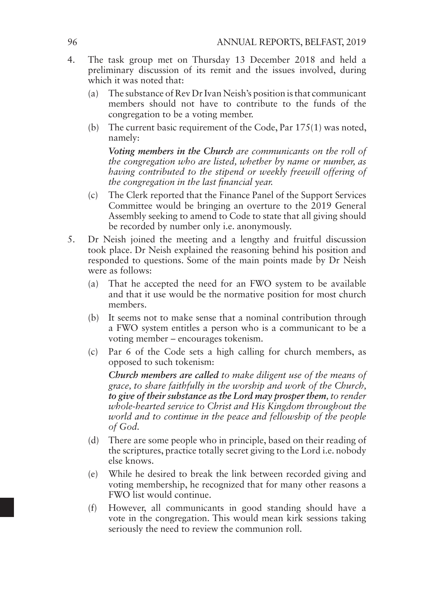- 4. The task group met on Thursday 13 December 2018 and held a preliminary discussion of its remit and the issues involved, during which it was noted that:
	- (a) The substance of Rev Dr Ivan Neish's position is that communicant members should not have to contribute to the funds of the congregation to be a voting member.
	- (b) The current basic requirement of the Code, Par 175(1) was noted, namely:

*Voting members in the Church are communicants on the roll of the congregation who are listed, whether by name or number, as having contributed to the stipend or weekly freewill offering of the congregation in the last financial year.*

- (c) The Clerk reported that the Finance Panel of the Support Services Committee would be bringing an overture to the 2019 General Assembly seeking to amend to Code to state that all giving should be recorded by number only i.e. anonymously.
- 5. Dr Neish joined the meeting and a lengthy and fruitful discussion took place. Dr Neish explained the reasoning behind his position and responded to questions. Some of the main points made by Dr Neish were as follows:
	- (a) That he accepted the need for an FWO system to be available and that it use would be the normative position for most church members.
	- (b) It seems not to make sense that a nominal contribution through a FWO system entitles a person who is a communicant to be a voting member – encourages tokenism.
	- (c) Par 6 of the Code sets a high calling for church members, as opposed to such tokenism:

*Church members are called to make diligent use of the means of grace, to share faithfully in the worship and work of the Church, to give of their substance as the Lord may prosper them, to render whole-hearted service to Christ and His Kingdom throughout the world and to continue in the peace and fellowship of the people of God.*

- (d) There are some people who in principle, based on their reading of the scriptures, practice totally secret giving to the Lord i.e. nobody else knows.
- (e) While he desired to break the link between recorded giving and voting membership, he recognized that for many other reasons a FWO list would continue.
- (f) However, all communicants in good standing should have a vote in the congregation. This would mean kirk sessions taking seriously the need to review the communion roll.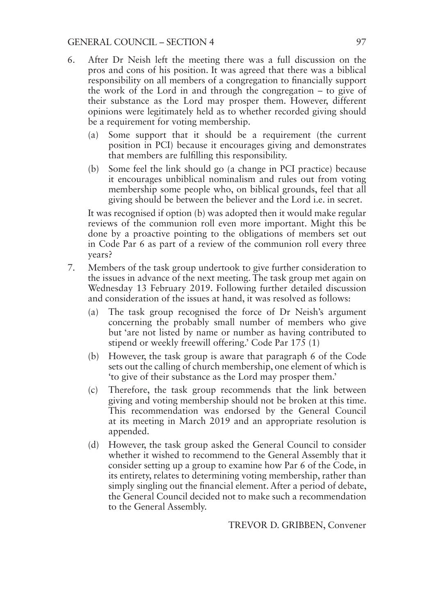#### GENERAL COUNCIL – SECTION 4 97

- 6. After Dr Neish left the meeting there was a full discussion on the pros and cons of his position. It was agreed that there was a biblical responsibility on all members of a congregation to financially support the work of the Lord in and through the congregation – to give of their substance as the Lord may prosper them. However, different opinions were legitimately held as to whether recorded giving should be a requirement for voting membership.
	- (a) Some support that it should be a requirement (the current position in PCI) because it encourages giving and demonstrates that members are fulfilling this responsibility.
	- (b) Some feel the link should go (a change in PCI practice) because it encourages unbiblical nominalism and rules out from voting membership some people who, on biblical grounds, feel that all giving should be between the believer and the Lord i.e. in secret.

It was recognised if option (b) was adopted then it would make regular reviews of the communion roll even more important. Might this be done by a proactive pointing to the obligations of members set out in Code Par 6 as part of a review of the communion roll every three years?

- 7. Members of the task group undertook to give further consideration to the issues in advance of the next meeting. The task group met again on Wednesday 13 February 2019. Following further detailed discussion and consideration of the issues at hand, it was resolved as follows:
	- (a) The task group recognised the force of Dr Neish's argument concerning the probably small number of members who give but 'are not listed by name or number as having contributed to stipend or weekly freewill offering.' Code Par 175 (1)
	- (b) However, the task group is aware that paragraph 6 of the Code sets out the calling of church membership, one element of which is 'to give of their substance as the Lord may prosper them.'
	- (c) Therefore, the task group recommends that the link between giving and voting membership should not be broken at this time. This recommendation was endorsed by the General Council at its meeting in March 2019 and an appropriate resolution is appended.
	- (d) However, the task group asked the General Council to consider whether it wished to recommend to the General Assembly that it consider setting up a group to examine how Par 6 of the Code, in its entirety, relates to determining voting membership, rather than simply singling out the financial element. After a period of debate, the General Council decided not to make such a recommendation to the General Assembly.

TREVOR D. GRIBBEN, Convener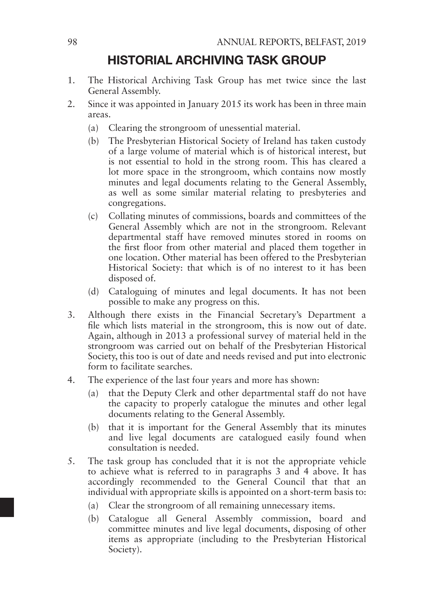# HISTORIAL ARCHIVING TASK GROUP

- 1. The Historical Archiving Task Group has met twice since the last General Assembly.
- 2. Since it was appointed in January 2015 its work has been in three main areas.
	- (a) Clearing the strongroom of unessential material.
	- (b) The Presbyterian Historical Society of Ireland has taken custody of a large volume of material which is of historical interest, but is not essential to hold in the strong room. This has cleared a lot more space in the strongroom, which contains now mostly minutes and legal documents relating to the General Assembly, as well as some similar material relating to presbyteries and congregations.
	- (c) Collating minutes of commissions, boards and committees of the General Assembly which are not in the strongroom. Relevant departmental staff have removed minutes stored in rooms on the first floor from other material and placed them together in one location. Other material has been offered to the Presbyterian Historical Society: that which is of no interest to it has been disposed of.
	- (d) Cataloguing of minutes and legal documents. It has not been possible to make any progress on this.
- 3. Although there exists in the Financial Secretary's Department a file which lists material in the strongroom, this is now out of date. Again, although in 2013 a professional survey of material held in the strongroom was carried out on behalf of the Presbyterian Historical Society, this too is out of date and needs revised and put into electronic form to facilitate searches.
- 4. The experience of the last four years and more has shown:
	- (a) that the Deputy Clerk and other departmental staff do not have the capacity to properly catalogue the minutes and other legal documents relating to the General Assembly.
	- (b) that it is important for the General Assembly that its minutes and live legal documents are catalogued easily found when consultation is needed.
- 5. The task group has concluded that it is not the appropriate vehicle to achieve what is referred to in paragraphs 3 and 4 above. It has accordingly recommended to the General Council that that an individual with appropriate skills is appointed on a short-term basis to:
	- (a) Clear the strongroom of all remaining unnecessary items.
	- (b) Catalogue all General Assembly commission, board and committee minutes and live legal documents, disposing of other items as appropriate (including to the Presbyterian Historical Society).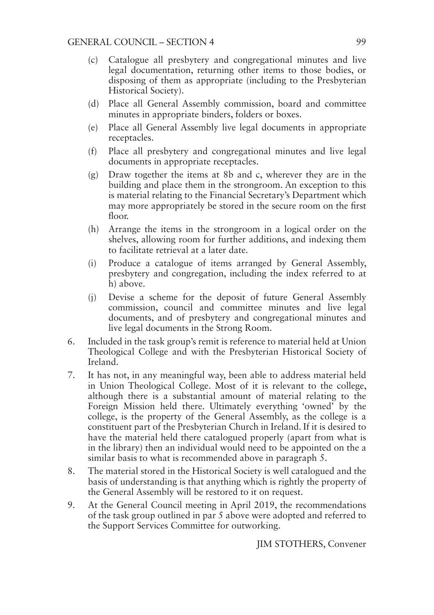- (c) Catalogue all presbytery and congregational minutes and live legal documentation, returning other items to those bodies, or disposing of them as appropriate (including to the Presbyterian Historical Society).
- (d) Place all General Assembly commission, board and committee minutes in appropriate binders, folders or boxes.
- (e) Place all General Assembly live legal documents in appropriate receptacles.
- (f) Place all presbytery and congregational minutes and live legal documents in appropriate receptacles.
- (g) Draw together the items at 8b and c, wherever they are in the building and place them in the strongroom. An exception to this is material relating to the Financial Secretary's Department which may more appropriately be stored in the secure room on the first floor.
- (h) Arrange the items in the strongroom in a logical order on the shelves, allowing room for further additions, and indexing them to facilitate retrieval at a later date.
- (i) Produce a catalogue of items arranged by General Assembly, presbytery and congregation, including the index referred to at h) above.
- (j) Devise a scheme for the deposit of future General Assembly commission, council and committee minutes and live legal documents, and of presbytery and congregational minutes and live legal documents in the Strong Room.
- 6. Included in the task group's remit is reference to material held at Union Theological College and with the Presbyterian Historical Society of Ireland.
- 7. It has not, in any meaningful way, been able to address material held in Union Theological College. Most of it is relevant to the college, although there is a substantial amount of material relating to the Foreign Mission held there. Ultimately everything 'owned' by the college, is the property of the General Assembly, as the college is a constituent part of the Presbyterian Church in Ireland. If it is desired to have the material held there catalogued properly (apart from what is in the library) then an individual would need to be appointed on the a similar basis to what is recommended above in paragraph 5.
- 8. The material stored in the Historical Society is well catalogued and the basis of understanding is that anything which is rightly the property of the General Assembly will be restored to it on request.
- 9. At the General Council meeting in April 2019, the recommendations of the task group outlined in par 5 above were adopted and referred to the Support Services Committee for outworking.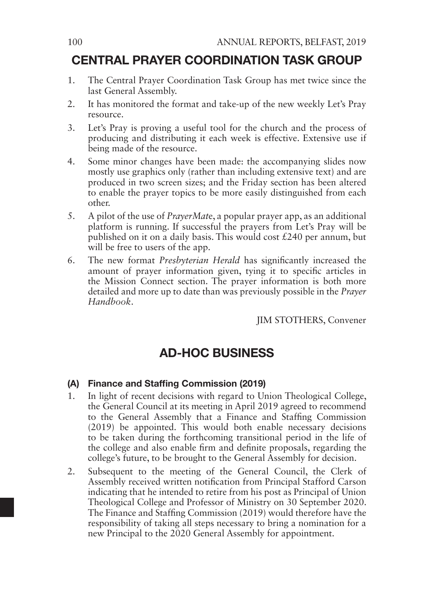# CENTRAL PRAYER COORDINATION TASK GROUP

- 1. The Central Prayer Coordination Task Group has met twice since the last General Assembly.
- 2. It has monitored the format and take-up of the new weekly Let's Pray resource.
- 3. Let's Pray is proving a useful tool for the church and the process of producing and distributing it each week is effective. Extensive use if being made of the resource.
- 4. Some minor changes have been made: the accompanying slides now mostly use graphics only (rather than including extensive text) and are produced in two screen sizes; and the Friday section has been altered to enable the prayer topics to be more easily distinguished from each other.
- 5. A pilot of the use of *PrayerMat*e, a popular prayer app, as an additional platform is running. If successful the prayers from Let's Pray will be published on it on a daily basis. This would cost £240 per annum, but will be free to users of the app.
- 6. The new format *Presbyterian Herald* has significantly increased the amount of prayer information given, tying it to specific articles in the Mission Connect section. The prayer information is both more detailed and more up to date than was previously possible in the *Prayer Handbook*.

JIM STOTHERS, Convener

# AD-HOC BUSINESS

#### (A) Finance and Staffing Commission (2019)

- 1. In light of recent decisions with regard to Union Theological College, the General Council at its meeting in April 2019 agreed to recommend to the General Assembly that a Finance and Staffing Commission (2019) be appointed. This would both enable necessary decisions to be taken during the forthcoming transitional period in the life of the college and also enable firm and definite proposals, regarding the college's future, to be brought to the General Assembly for decision.
- 2. Subsequent to the meeting of the General Council, the Clerk of Assembly received written notification from Principal Stafford Carson indicating that he intended to retire from his post as Principal of Union Theological College and Professor of Ministry on 30 September 2020. The Finance and Staffing Commission (2019) would therefore have the responsibility of taking all steps necessary to bring a nomination for a new Principal to the 2020 General Assembly for appointment.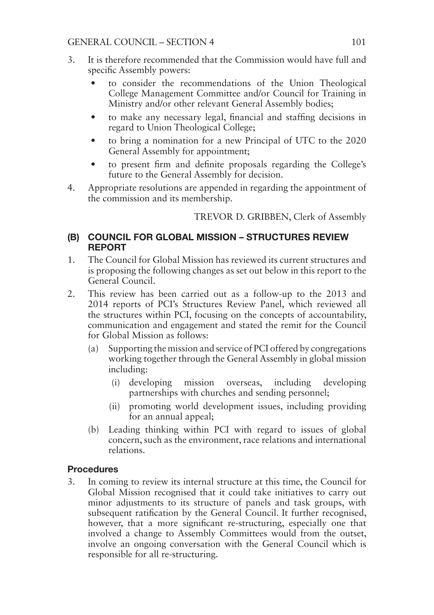- 3. It is therefore recommended that the Commission would have full and specific Assembly powers:
	- to consider the recommendations of the Union Theological College Management Committee and/or Council for Training in Ministry and/or other relevant General Assembly bodies;
	- to make any necessary legal, financial and staffing decisions in regard to Union Theological College;
	- to bring a nomination for a new Principal of UTC to the 2020 General Assembly for appointment;
	- to present firm and definite proposals regarding the College's future to the General Assembly for decision.
- 4. Appropriate resolutions are appended in regarding the appointment of the commission and its membership.

TREVOR D. GRIBBEN, Clerk of Assembly

#### (B) COUNCIL FOR GLOBAL MISSION – STRUCTURES REVIEW REPORT

- 1. The Council for Global Mission has reviewed its current structures and is proposing the following changes as set out below in this report to the General Council.
- 2. This review has been carried out as a follow-up to the 2013 and 2014 reports of PCI's Structures Review Panel, which reviewed all the structures within PCI, focusing on the concepts of accountability, communication and engagement and stated the remit for the Council for Global Mission as follows:
	- (a) Supporting the mission and service of PCI offered by congregations working together through the General Assembly in global mission including:
		- (i) developing mission overseas, including developing partnerships with churches and sending personnel;
		- (ii) promoting world development issues, including providing for an annual appeal;
	- (b) Leading thinking within PCI with regard to issues of global concern, such as the environment, race relations and international relations.

#### Procedures

3. In coming to review its internal structure at this time, the Council for Global Mission recognised that it could take initiatives to carry out minor adjustments to its structure of panels and task groups, with subsequent ratification by the General Council. It further recognised, however, that a more significant re-structuring, especially one that involved a change to Assembly Committees would from the outset, involve an ongoing conversation with the General Council which is responsible for all re-structuring.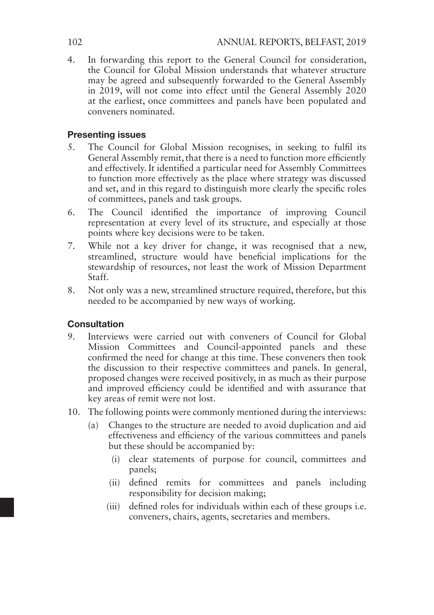4. In forwarding this report to the General Council for consideration, the Council for Global Mission understands that whatever structure may be agreed and subsequently forwarded to the General Assembly in 2019, will not come into effect until the General Assembly 2020 at the earliest, once committees and panels have been populated and conveners nominated.

#### Presenting issues

- 5. The Council for Global Mission recognises, in seeking to fulfil its General Assembly remit, that there is a need to function more efficiently and effectively. It identified a particular need for Assembly Committees to function more effectively as the place where strategy was discussed and set, and in this regard to distinguish more clearly the specific roles of committees, panels and task groups.
- 6. The Council identified the importance of improving Council representation at every level of its structure, and especially at those points where key decisions were to be taken.
- 7. While not a key driver for change, it was recognised that a new, streamlined, structure would have beneficial implications for the stewardship of resources, not least the work of Mission Department Staff.
- 8. Not only was a new, streamlined structure required, therefore, but this needed to be accompanied by new ways of working.

#### **Consultation**

- 9. Interviews were carried out with conveners of Council for Global Mission Committees and Council-appointed panels and these confirmed the need for change at this time. These conveners then took the discussion to their respective committees and panels. In general, proposed changes were received positively, in as much as their purpose and improved efficiency could be identified and with assurance that key areas of remit were not lost.
- 10. The following points were commonly mentioned during the interviews:
	- (a) Changes to the structure are needed to avoid duplication and aid effectiveness and efficiency of the various committees and panels but these should be accompanied by:
		- (i) clear statements of purpose for council, committees and panels;
		- (ii) defined remits for committees and panels including responsibility for decision making;
		- (iii) defined roles for individuals within each of these groups i.e. conveners, chairs, agents, secretaries and members.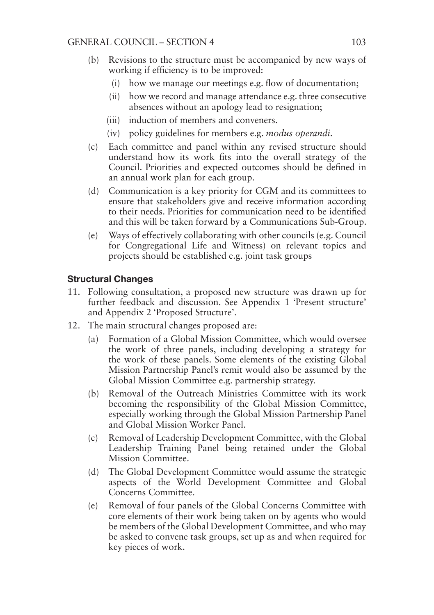- (b) Revisions to the structure must be accompanied by new ways of working if efficiency is to be improved:
	- (i) how we manage our meetings e.g. flow of documentation;
	- (ii) how we record and manage attendance e.g. three consecutive absences without an apology lead to resignation;
	- (iii) induction of members and conveners.
	- (iv) policy guidelines for members e.g. *modus operandi*.
- (c) Each committee and panel within any revised structure should understand how its work fits into the overall strategy of the Council. Priorities and expected outcomes should be defined in an annual work plan for each group.
- (d) Communication is a key priority for CGM and its committees to ensure that stakeholders give and receive information according to their needs. Priorities for communication need to be identified and this will be taken forward by a Communications Sub-Group.
- (e) Ways of effectively collaborating with other councils (e.g. Council for Congregational Life and Witness) on relevant topics and projects should be established e.g. joint task groups

#### Structural Changes

- 11. Following consultation, a proposed new structure was drawn up for further feedback and discussion. See Appendix 1 'Present structure' and Appendix 2 'Proposed Structure'.
- 12. The main structural changes proposed are:
	- (a) Formation of a Global Mission Committee, which would oversee the work of three panels, including developing a strategy for the work of these panels. Some elements of the existing Global Mission Partnership Panel's remit would also be assumed by the Global Mission Committee e.g. partnership strategy.
	- (b) Removal of the Outreach Ministries Committee with its work becoming the responsibility of the Global Mission Committee, especially working through the Global Mission Partnership Panel and Global Mission Worker Panel.
	- (c) Removal of Leadership Development Committee, with the Global Leadership Training Panel being retained under the Global Mission Committee.
	- (d) The Global Development Committee would assume the strategic aspects of the World Development Committee and Global Concerns Committee.
	- (e) Removal of four panels of the Global Concerns Committee with core elements of their work being taken on by agents who would be members of the Global Development Committee, and who may be asked to convene task groups, set up as and when required for key pieces of work.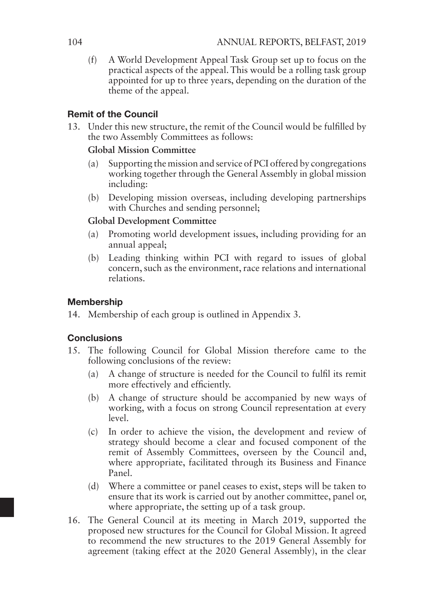(f) A World Development Appeal Task Group set up to focus on the practical aspects of the appeal. This would be a rolling task group appointed for up to three years, depending on the duration of the theme of the appeal.

#### Remit of the Council

13. Under this new structure, the remit of the Council would be fulfilled by the two Assembly Committees as follows:

#### **Global Mission Committee**

- (a) Supporting the mission and service of PCI offered by congregations working together through the General Assembly in global mission including:
- (b) Developing mission overseas, including developing partnerships with Churches and sending personnel;

#### **Global Development Committee**

- (a) Promoting world development issues, including providing for an annual appeal;
- (b) Leading thinking within PCI with regard to issues of global concern, such as the environment, race relations and international relations.

#### **Membership**

14. Membership of each group is outlined in Appendix 3.

#### **Conclusions**

- 15. The following Council for Global Mission therefore came to the following conclusions of the review:
	- (a) A change of structure is needed for the Council to fulfil its remit more effectively and efficiently.
	- (b) A change of structure should be accompanied by new ways of working, with a focus on strong Council representation at every level.
	- (c) In order to achieve the vision, the development and review of strategy should become a clear and focused component of the remit of Assembly Committees, overseen by the Council and, where appropriate, facilitated through its Business and Finance Panel.
	- (d) Where a committee or panel ceases to exist, steps will be taken to ensure that its work is carried out by another committee, panel or, where appropriate, the setting up of a task group.
- 16. The General Council at its meeting in March 2019, supported the proposed new structures for the Council for Global Mission. It agreed to recommend the new structures to the 2019 General Assembly for agreement (taking effect at the 2020 General Assembly), in the clear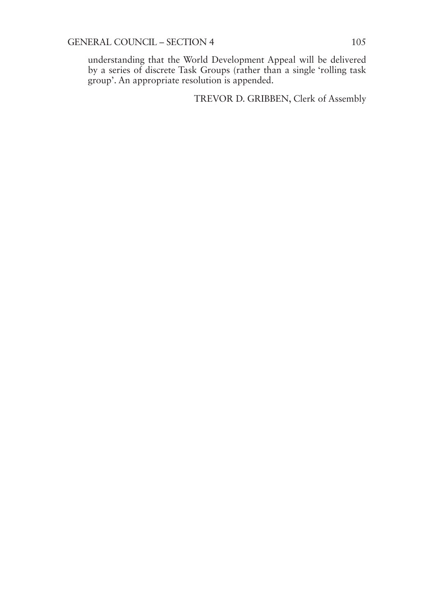understanding that the World Development Appeal will be delivered by a series of discrete Task Groups (rather than a single 'rolling task group'. An appropriate resolution is appended.

TREVOR D. GRIBBEN, Clerk of Assembly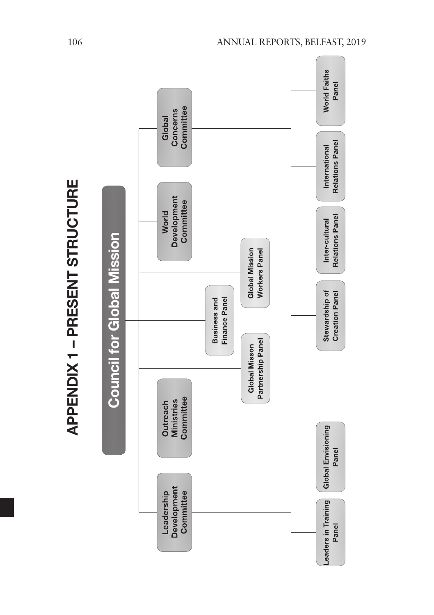| ֠      |
|--------|
| ٠      |
| ļ      |
|        |
|        |
| I      |
|        |
| ı<br>ļ |
|        |
| ļ      |
|        |
| ı      |
|        |
|        |
|        |
| ı      |
|        |
| ı      |
|        |
|        |
|        |
|        |
|        |
|        |
|        |
|        |

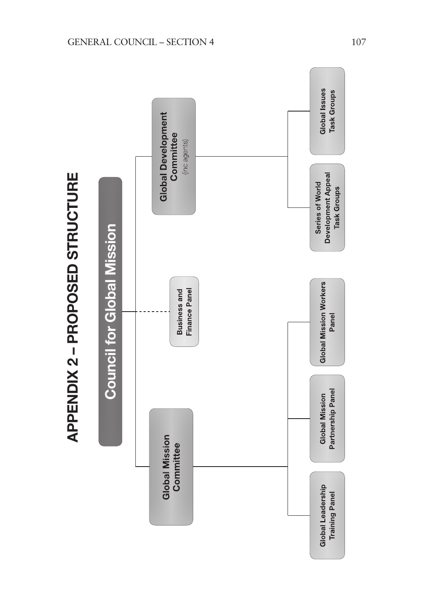

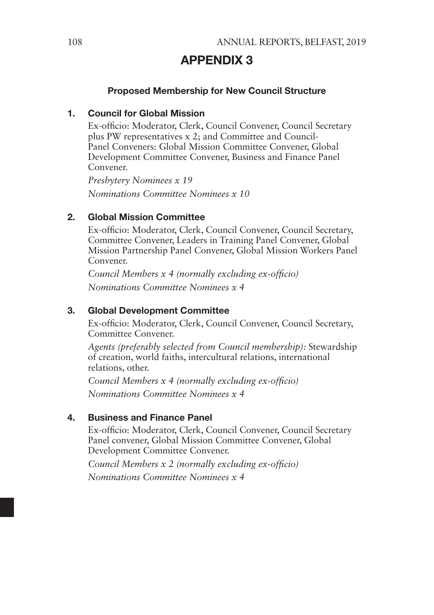# APPENDIX 3

#### Proposed Membership for New Council Structure

#### 1. Council for Global Mission

Ex-officio: Moderator, Clerk, Council Convener, Council Secretary plus PW representatives x 2; and Committee and Council-Panel Conveners: Global Mission Committee Convener, Global Development Committee Convener, Business and Finance Panel Convener.

*Presbytery Nominees x 19 Nominations Committee Nominees x 10*

#### 2. Global Mission Committee

Ex-officio: Moderator, Clerk, Council Convener, Council Secretary, Committee Convener, Leaders in Training Panel Convener, Global Mission Partnership Panel Convener, Global Mission Workers Panel Convener.

*Council Members x 4 (normally excluding ex-officio) Nominations Committee Nominees x 4*

#### 3. Global Development Committee

Ex-officio: Moderator, Clerk, Council Convener, Council Secretary, Committee Convener.

*Agents (preferably selected from Council membership):* Stewardship of creation, world faiths, intercultural relations, international relations, other.

*Council Members x 4 (normally excluding ex-officio) Nominations Committee Nominees x 4*

#### 4. Business and Finance Panel

Ex-officio: Moderator, Clerk, Council Convener, Council Secretary Panel convener, Global Mission Committee Convener, Global Development Committee Convener.

*Council Members x 2 (normally excluding ex-officio) Nominations Committee Nominees x 4*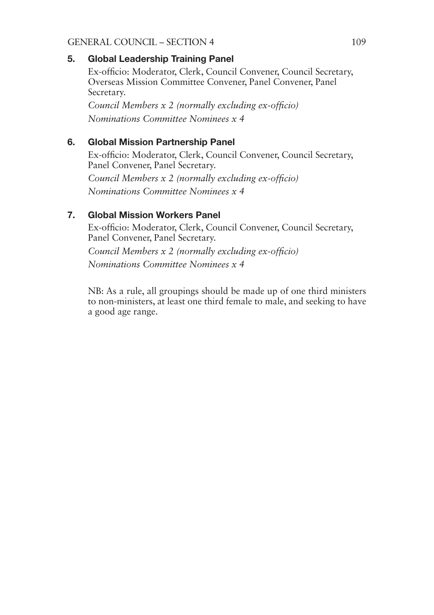#### GENERAL COUNCIL – SECTION 4 109

#### 5. Global Leadership Training Panel

Ex-officio: Moderator, Clerk, Council Convener, Council Secretary, Overseas Mission Committee Convener, Panel Convener, Panel Secretary.

*Council Members x 2 (normally excluding ex-officio) Nominations Committee Nominees x 4*

#### 6. Global Mission Partnership Panel

Ex-officio: Moderator, Clerk, Council Convener, Council Secretary, Panel Convener, Panel Secretary.

*Council Members x 2 (normally excluding ex-officio) Nominations Committee Nominees x 4*

### 7. Global Mission Workers Panel

Ex-officio: Moderator, Clerk, Council Convener, Council Secretary, Panel Convener, Panel Secretary. *Council Members x 2 (normally excluding ex-officio) Nominations Committee Nominees x 4*

NB: As a rule, all groupings should be made up of one third ministers to non-ministers, at least one third female to male, and seeking to have a good age range.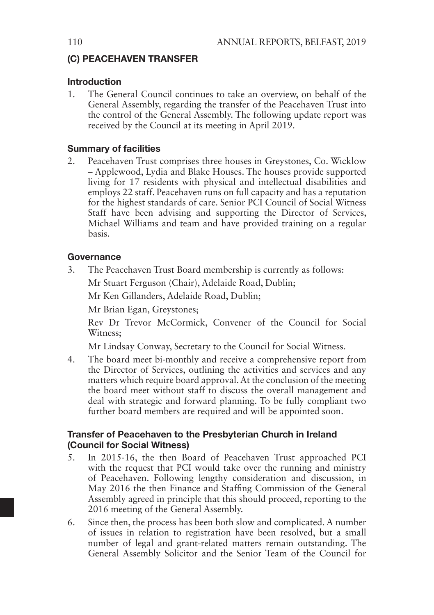#### (C) PEACEHAVEN TRANSFER

#### Introduction

1. The General Council continues to take an overview, on behalf of the General Assembly, regarding the transfer of the Peacehaven Trust into the control of the General Assembly. The following update report was received by the Council at its meeting in April 2019.

#### Summary of facilities

2. Peacehaven Trust comprises three houses in Greystones, Co. Wicklow – Applewood, Lydia and Blake Houses. The houses provide supported living for 17 residents with physical and intellectual disabilities and employs 22 staff. Peacehaven runs on full capacity and has a reputation for the highest standards of care. Senior PCI Council of Social Witness Staff have been advising and supporting the Director of Services, Michael Williams and team and have provided training on a regular basis.

#### Governance

3. The Peacehaven Trust Board membership is currently as follows:

Mr Stuart Ferguson (Chair), Adelaide Road, Dublin;

Mr Ken Gillanders, Adelaide Road, Dublin;

Mr Brian Egan, Greystones;

Rev Dr Trevor McCormick, Convener of the Council for Social Witness;

Mr Lindsay Conway, Secretary to the Council for Social Witness.

4. The board meet bi-monthly and receive a comprehensive report from the Director of Services, outlining the activities and services and any matters which require board approval. At the conclusion of the meeting the board meet without staff to discuss the overall management and deal with strategic and forward planning. To be fully compliant two further board members are required and will be appointed soon.

#### Transfer of Peacehaven to the Presbyterian Church in Ireland (Council for Social Witness)

- 5. In 2015-16, the then Board of Peacehaven Trust approached PCI with the request that PCI would take over the running and ministry of Peacehaven. Following lengthy consideration and discussion, in May 2016 the then Finance and Staffing Commission of the General Assembly agreed in principle that this should proceed, reporting to the 2016 meeting of the General Assembly.
- 6. Since then, the process has been both slow and complicated. A number of issues in relation to registration have been resolved, but a small number of legal and grant-related matters remain outstanding. The General Assembly Solicitor and the Senior Team of the Council for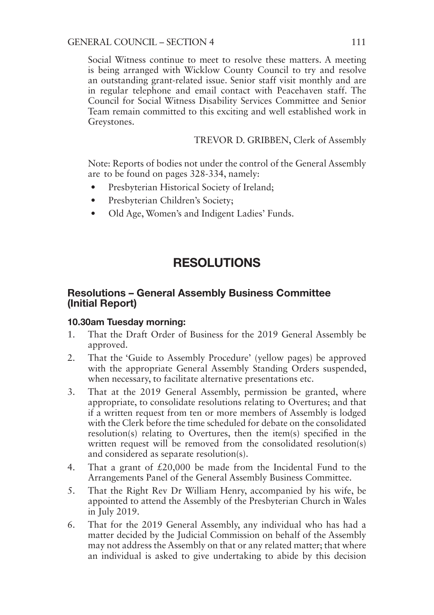Social Witness continue to meet to resolve these matters. A meeting is being arranged with Wicklow County Council to try and resolve an outstanding grant-related issue. Senior staff visit monthly and are in regular telephone and email contact with Peacehaven staff. The Council for Social Witness Disability Services Committee and Senior Team remain committed to this exciting and well established work in Greystones.

TREVOR D. GRIBBEN, Clerk of Assembly

Note: Reports of bodies not under the control of the General Assembly are to be found on pages 328-334, namely:

- Presbyterian Historical Society of Ireland;
- Presbyterian Children's Society;
- Old Age, Women's and Indigent Ladies' Funds.

# RESOLUTIONS

#### Resolutions – General Assembly Business Committee (Initial Report)

#### 10.30am Tuesday morning:

- 1. That the Draft Order of Business for the 2019 General Assembly be approved.
- 2. That the 'Guide to Assembly Procedure' (yellow pages) be approved with the appropriate General Assembly Standing Orders suspended, when necessary, to facilitate alternative presentations etc.
- 3. That at the 2019 General Assembly, permission be granted, where appropriate, to consolidate resolutions relating to Overtures; and that if a written request from ten or more members of Assembly is lodged with the Clerk before the time scheduled for debate on the consolidated resolution(s) relating to Overtures, then the item(s) specified in the written request will be removed from the consolidated resolution(s) and considered as separate resolution(s).
- 4. That a grant of £20,000 be made from the Incidental Fund to the Arrangements Panel of the General Assembly Business Committee.
- 5. That the Right Rev Dr William Henry, accompanied by his wife, be appointed to attend the Assembly of the Presbyterian Church in Wales in July 2019.
- 6. That for the 2019 General Assembly, any individual who has had a matter decided by the Judicial Commission on behalf of the Assembly may not address the Assembly on that or any related matter; that where an individual is asked to give undertaking to abide by this decision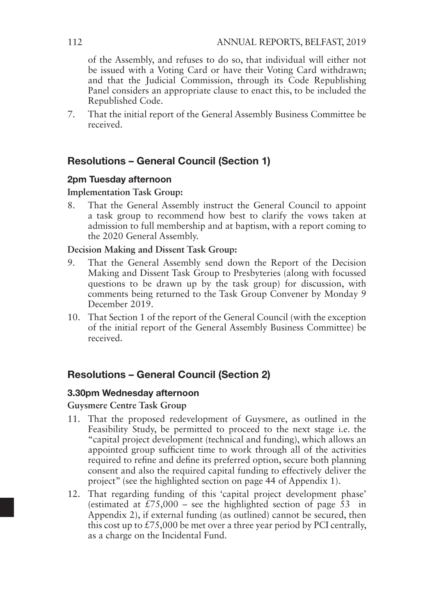of the Assembly, and refuses to do so, that individual will either not be issued with a Voting Card or have their Voting Card withdrawn; and that the Judicial Commission, through its Code Republishing Panel considers an appropriate clause to enact this, to be included the Republished Code.

7. That the initial report of the General Assembly Business Committee be received.

# Resolutions – General Council (Section 1)

#### 2pm Tuesday afternoon

#### **Implementation Task Group:**

8. That the General Assembly instruct the General Council to appoint a task group to recommend how best to clarify the vows taken at admission to full membership and at baptism, with a report coming to the 2020 General Assembly.

#### **Decision Making and Dissent Task Group:**

- 9. That the General Assembly send down the Report of the Decision Making and Dissent Task Group to Presbyteries (along with focussed questions to be drawn up by the task group) for discussion, with comments being returned to the Task Group Convener by Monday 9 December 2019.
- 10. That Section 1 of the report of the General Council (with the exception of the initial report of the General Assembly Business Committee) be received.

# Resolutions – General Council (Section 2)

#### 3.30pm Wednesday afternoon

#### **Guysmere Centre Task Group**

- 11. That the proposed redevelopment of Guysmere, as outlined in the Feasibility Study, be permitted to proceed to the next stage i.e. the "capital project development (technical and funding), which allows an appointed group sufficient time to work through all of the activities required to refine and define its preferred option, secure both planning consent and also the required capital funding to effectively deliver the project" (see the highlighted section on page 44 of Appendix 1).
- 12. That regarding funding of this 'capital project development phase' (estimated at  $\overline{275,000}$  – see the highlighted section of page 53 in Appendix 2), if external funding (as outlined) cannot be secured, then this cost up to  $£75,000$  be met over a three year period by PCI centrally, as a charge on the Incidental Fund.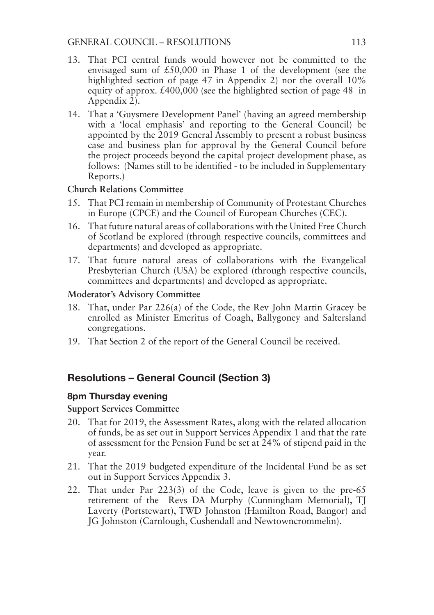- 13. That PCI central funds would however not be committed to the envisaged sum of £50,000 in Phase 1 of the development (see the highlighted section of page 47 in Appendix 2) nor the overall  $10\%$ equity of approx. £400,000 (see the highlighted section of page 48 in Appendix 2).
- 14. That a 'Guysmere Development Panel' (having an agreed membership with a 'local emphasis' and reporting to the General Council) be appointed by the 2019 General Assembly to present a robust business case and business plan for approval by the General Council before the project proceeds beyond the capital project development phase, as follows: (Names still to be identified - to be included in Supplementary Reports.)

#### **Church Relations Committee**

- 15. That PCI remain in membership of Community of Protestant Churches in Europe (CPCE) and the Council of European Churches (CEC).
- 16. That future natural areas of collaborations with the United Free Church of Scotland be explored (through respective councils, committees and departments) and developed as appropriate.
- 17. That future natural areas of collaborations with the Evangelical Presbyterian Church (USA) be explored (through respective councils, committees and departments) and developed as appropriate.

#### **Moderator's Advisory Committee**

- 18. That, under Par 226(a) of the Code, the Rev John Martin Gracey be enrolled as Minister Emeritus of Coagh, Ballygoney and Saltersland congregations.
- 19. That Section 2 of the report of the General Council be received.

# Resolutions – General Council (Section 3)

#### 8pm Thursday evening

#### **Support Services Committee**

- 20. That for 2019, the Assessment Rates, along with the related allocation of funds, be as set out in Support Services Appendix 1 and that the rate of assessment for the Pension Fund be set at 24% of stipend paid in the year.
- 21. That the 2019 budgeted expenditure of the Incidental Fund be as set out in Support Services Appendix 3.
- 22. That under Par 223(3) of the Code, leave is given to the pre-65 retirement of the Revs DA Murphy (Cunningham Memorial), TJ Laverty (Portstewart), TWD Johnston (Hamilton Road, Bangor) and JG Johnston (Carnlough, Cushendall and Newtowncrommelin).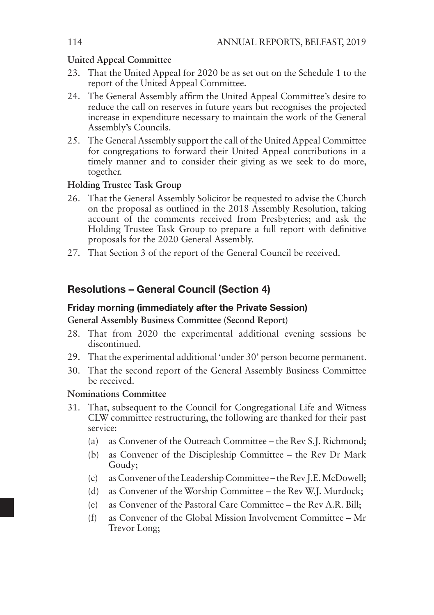#### **United Appeal Committee**

- 23. That the United Appeal for 2020 be as set out on the Schedule 1 to the report of the United Appeal Committee.
- 24. The General Assembly affirm the United Appeal Committee's desire to reduce the call on reserves in future years but recognises the projected increase in expenditure necessary to maintain the work of the General Assembly's Councils.
- 25. The General Assembly support the call of the United Appeal Committee for congregations to forward their United Appeal contributions in a timely manner and to consider their giving as we seek to do more, together.

#### **Holding Trustee Task Group**

- 26. That the General Assembly Solicitor be requested to advise the Church on the proposal as outlined in the 2018 Assembly Resolution, taking account of the comments received from Presbyteries; and ask the Holding Trustee Task Group to prepare a full report with definitive proposals for the 2020 General Assembly.
- 27. That Section 3 of the report of the General Council be received.

#### Resolutions – General Council (Section 4)

#### Friday morning (immediately after the Private Session)

#### **General Assembly Business Committee (Second Report)**

- 28. That from 2020 the experimental additional evening sessions be discontinued.
- 29. That the experimental additional 'under 30' person become permanent.
- 30. That the second report of the General Assembly Business Committee be received.

#### **Nominations Committee**

- 31. That, subsequent to the Council for Congregational Life and Witness CLW committee restructuring, the following are thanked for their past service:
	- (a) as Convener of the Outreach Committee the Rev S.J. Richmond;
	- (b) as Convener of the Discipleship Committee the Rev Dr Mark Goudy;
	- (c) as Convener of the Leadership Committee the Rev J.E. McDowell;
	- (d) as Convener of the Worship Committee the Rev W.J. Murdock;
	- (e) as Convener of the Pastoral Care Committee the Rev A.R. Bill;
	- (f) as Convener of the Global Mission Involvement Committee Mr Trevor Long;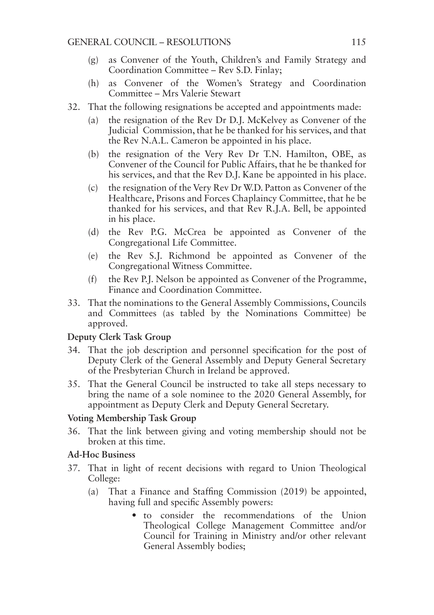- (g) as Convener of the Youth, Children's and Family Strategy and Coordination Committee – Rev S.D. Finlay;
- (h) as Convener of the Women's Strategy and Coordination Committee – Mrs Valerie Stewart
- 32. That the following resignations be accepted and appointments made:
	- (a) the resignation of the Rev Dr D.J. McKelvey as Convener of the Judicial Commission, that he be thanked for his services, and that the Rev N.A.L. Cameron be appointed in his place.
	- (b) the resignation of the Very Rev Dr T.N. Hamilton, OBE, as Convener of the Council for Public Affairs, that he be thanked for his services, and that the Rev D.J. Kane be appointed in his place.
	- (c) the resignation of the Very Rev Dr W.D. Patton as Convener of the Healthcare, Prisons and Forces Chaplaincy Committee, that he be thanked for his services, and that Rev R.J.A. Bell, be appointed in his place.
	- (d) the Rev P.G. McCrea be appointed as Convener of the Congregational Life Committee.
	- (e) the Rev S.J. Richmond be appointed as Convener of the Congregational Witness Committee.
	- (f) the Rev P.J. Nelson be appointed as Convener of the Programme, Finance and Coordination Committee.
- 33. That the nominations to the General Assembly Commissions, Councils and Committees (as tabled by the Nominations Committee) be approved.

#### **Deputy Clerk Task Group**

- 34. That the job description and personnel specification for the post of Deputy Clerk of the General Assembly and Deputy General Secretary of the Presbyterian Church in Ireland be approved.
- 35. That the General Council be instructed to take all steps necessary to bring the name of a sole nominee to the 2020 General Assembly, for appointment as Deputy Clerk and Deputy General Secretary.

#### **Voting Membership Task Group**

36. That the link between giving and voting membership should not be broken at this time.

#### **Ad-Hoc Business**

- 37. That in light of recent decisions with regard to Union Theological College:
	- (a) That a Finance and Staffing Commission (2019) be appointed, having full and specific Assembly powers:
		- to consider the recommendations of the Union Theological College Management Committee and/or Council for Training in Ministry and/or other relevant General Assembly bodies;